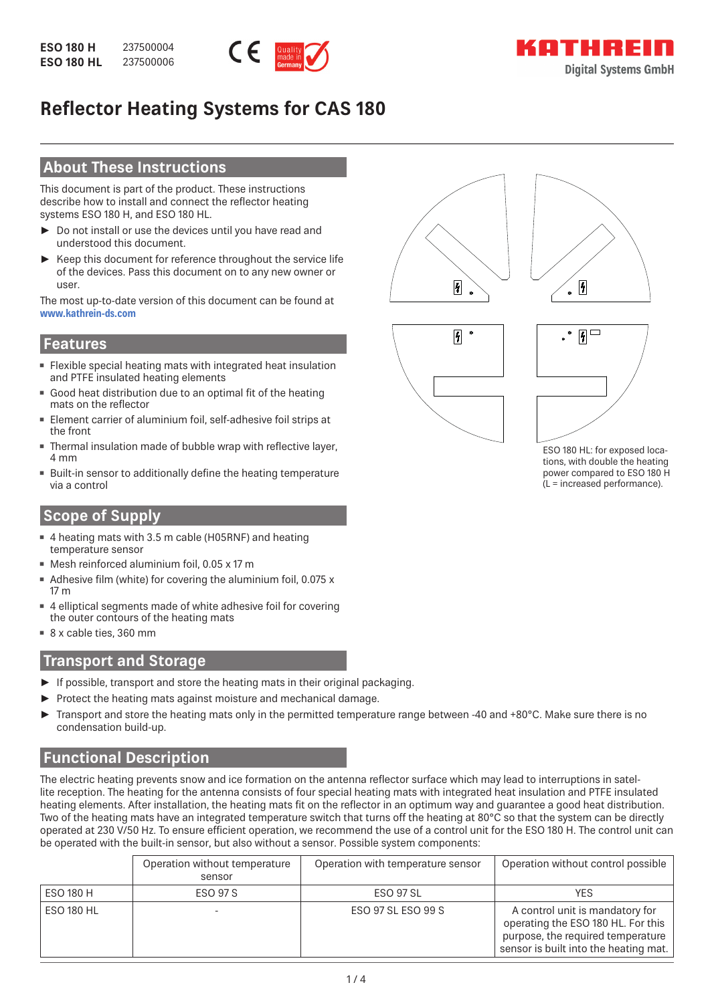

# **Reflector Heating Systems for CAS 180**

## **About These Instructions**

This document is part of the product. These instructions describe how to install and connect the reflector heating systems ESO 180 H, and ESO 180 HL.

- ► Do not install or use the devices until you have read and understood this document.
- Keep this document for reference throughout the service life of the devices. Pass this document on to any new owner or user.

The most up-to-date version of this document can be found at **www.kathrein-ds.com**

#### **Features**

- Flexible special heating mats with integrated heat insulation and PTFE insulated heating elements
- **Good heat distribution due to an optimal fit of the heating** mats on the reflector
- Element carrier of aluminium foil, self-adhesive foil strips at the front
- Thermal insulation made of bubble wrap with reflective layer, 4 mm
- **Built-in sensor to additionally define the heating temperature** via a control

## **Scope of Supply**

- 4 heating mats with 3.5 m cable (H05RNF) and heating temperature sensor
- Mesh reinforced aluminium foil, 0.05 x 17 m
- Adhesive film (white) for covering the aluminium foil, 0.075 x 17 m
- 4 elliptical segments made of white adhesive foil for covering the outer contours of the heating mats
- 8 x cable ties, 360 mm

## **Transport and Storage**

- ► If possible, transport and store the heating mats in their original packaging.
- Protect the heating mats against moisture and mechanical damage.
- ► Transport and store the heating mats only in the permitted temperature range between -40 and +80°C. Make sure there is no condensation build-up.

## **Functional Description**

The electric heating prevents snow and ice formation on the antenna reflector surface which may lead to interruptions in satellite reception. The heating for the antenna consists of four special heating mats with integrated heat insulation and PTFE insulated heating elements. After installation, the heating mats fit on the reflector in an optimum way and quarantee a good heat distribution. Two of the heating mats have an integrated temperature switch that turns off the heating at 80°C so that the system can be directly operated at 230 V/50 Hz. To ensure efficient operation, we recommend the use of a control unit for the ESO 180 H. The control unit can be operated with the built-in sensor, but also without a sensor. Possible system components:

|                   | Operation without temperature<br>sensor | Operation with temperature sensor | Operation without control possible                                                                                                                  |
|-------------------|-----------------------------------------|-----------------------------------|-----------------------------------------------------------------------------------------------------------------------------------------------------|
| ESO 180 H         | <b>ESO 97 S</b>                         | <b>ESO 97 SL</b>                  | YES                                                                                                                                                 |
| <b>ESO 180 HL</b> |                                         | ESO 97 SL ESO 99 S                | A control unit is mandatory for<br>operating the ESO 180 HL. For this<br>purpose, the required temperature<br>sensor is built into the heating mat. |









ESO 180 HL: for exposed locations, with double the heating power compared to ESO 180 H (L = increased performance).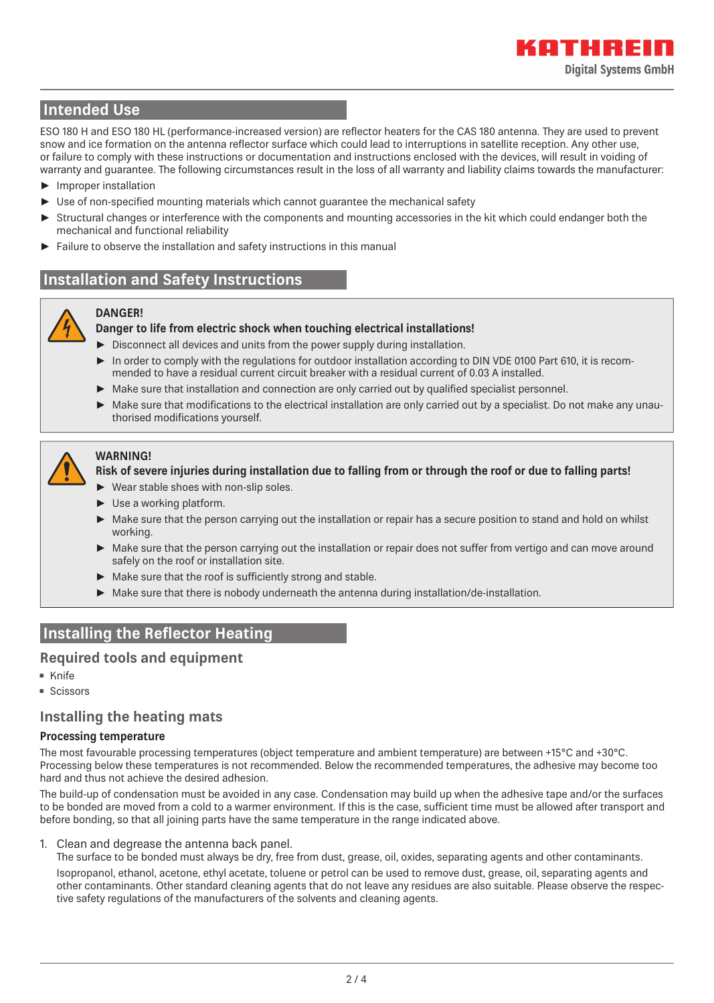## **Intended Use**

ESO 180 H and ESO 180 HL (performance-increased version) are reflector heaters for the CAS 180 antenna. They are used to prevent snow and ice formation on the antenna reflector surface which could lead to interruptions in satellite reception. Any other use, or failure to comply with these instructions or documentation and instructions enclosed with the devices, will result in voiding of warranty and guarantee. The following circumstances result in the loss of all warranty and liability claims towards the manufacturer:

- ► Improper installation
- Use of non-specified mounting materials which cannot guarantee the mechanical safety
- Structural changes or interference with the components and mounting accessories in the kit which could endanger both the mechanical and functional reliability
- Failure to observe the installation and safety instructions in this manual

## **Installation and Safety Instructions**

#### **DANGER! Danger to life from electric shock when touching electrical installations!**

- ► Disconnect all devices and units from the power supply during installation.
- ► In order to comply with the regulations for outdoor installation according to DIN VDE 0100 Part 610, it is recommended to have a residual current circuit breaker with a residual current of 0.03 A installed.
- ► Make sure that installation and connection are only carried out by qualified specialist personnel.
- ► Make sure that modifications to the electrical installation are only carried out by a specialist. Do not make any unauthorised modifications yourself.



#### **WARNING!**

#### **Risk of severe injuries during installation due to falling from or through the roof or due to falling parts!**

- ► Wear stable shoes with non-slip soles.
- ► Use a working platform.
- ► Make sure that the person carrying out the installation or repair has a secure position to stand and hold on whilst working.
- ► Make sure that the person carrying out the installation or repair does not suffer from vertigo and can move around safely on the roof or installation site.
- $\blacktriangleright$  Make sure that the roof is sufficiently strong and stable.
- ► Make sure that there is nobody underneath the antenna during installation/de-installation.

## **Installing the Reflector Heating**

### **Required tools and equipment**

- Knife
- Scissors

#### **Installing the heating mats**

#### **Processing temperature**

The most favourable processing temperatures (object temperature and ambient temperature) are between +15°C and +30°C. Processing below these temperatures is not recommended. Below the recommended temperatures, the adhesive may become too hard and thus not achieve the desired adhesion.

The build-up of condensation must be avoided in any case. Condensation may build up when the adhesive tape and/or the surfaces to be bonded are moved from a cold to a warmer environment. If this is the case, sufficient time must be allowed after transport and before bonding, so that all joining parts have the same temperature in the range indicated above.

1. Clean and degrease the antenna back panel.

The surface to be bonded must always be dry, free from dust, grease, oil, oxides, separating agents and other contaminants.

Isopropanol, ethanol, acetone, ethyl acetate, toluene or petrol can be used to remove dust, grease, oil, separating agents and other contaminants. Other standard cleaning agents that do not leave any residues are also suitable. Please observe the respective safety regulations of the manufacturers of the solvents and cleaning agents.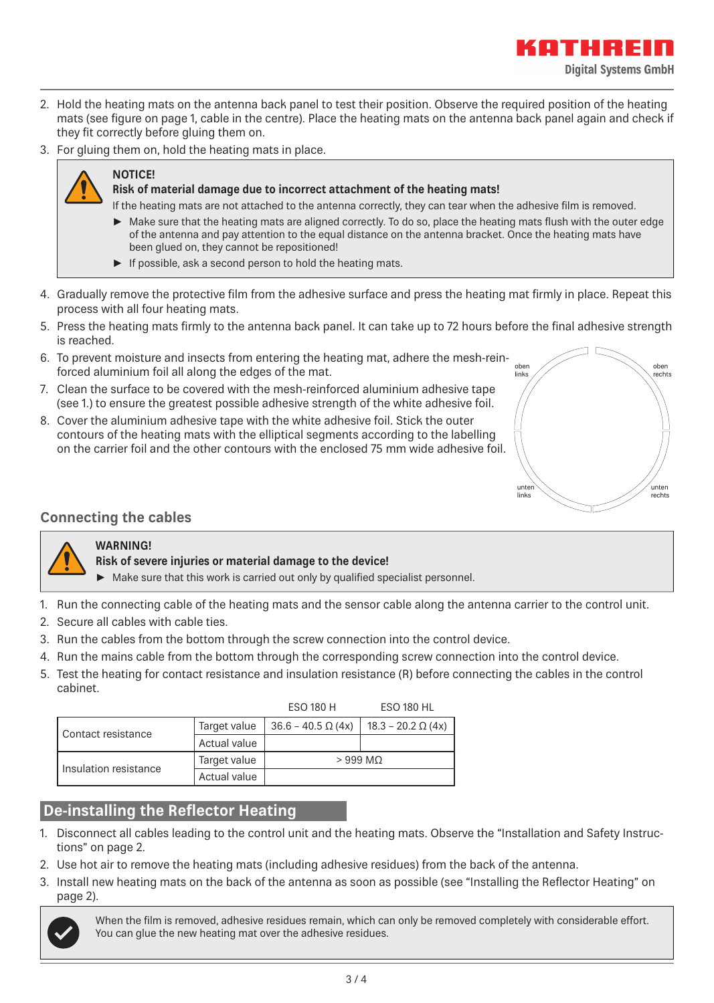- 2. Hold the heating mats on the antenna back panel to test their position. Observe the required position of the heating mats (see figure on page 1, cable in the centre). Place the heating mats on the antenna back panel again and check if they fit correctly before gluing them on.
- 3. For gluing them on, hold the heating mats in place.

## **NOTICE!**

#### **Risk of material damage due to incorrect attachment of the heating mats!**

- If the heating mats are not attached to the antenna correctly, they can tear when the adhesive film is removed.
- ► Make sure that the heating mats are aligned correctly. To do so, place the heating mats flush with the outer edge of the antenna and pay attention to the equal distance on the antenna bracket. Once the heating mats have been glued on, they cannot be repositioned!
- ► If possible, ask a second person to hold the heating mats.
- 4. Gradually remove the protective film from the adhesive surface and press the heating mat firmly in place. Repeat this process with all four heating mats.
- 5. Press the heating mats firmly to the antenna back panel. It can take up to 72 hours before the final adhesive strength is reached.
- 6. To prevent moisture and insects from entering the heating mat, adhere the mesh-reinforced aluminium foil all along the edges of the mat.
- 7. Clean the surface to be covered with the mesh-reinforced aluminium adhesive tape (see 1.) to ensure the greatest possible adhesive strength of the white adhesive foil.
- 8. Cover the aluminium adhesive tape with the white adhesive foil. Stick the outer contours of the heating mats with the elliptical segments according to the labelling on the carrier foil and the other contours with the enclosed 75 mm wide adhesive foil.



,,,,,,,,

**Digital Systems GmbH** 

## **Connecting the cables**

### **WARNING!**

#### **Risk of severe injuries or material damage to the device!**

- $\blacktriangleright$  Make sure that this work is carried out only by qualified specialist personnel.
- 1. Run the connecting cable of the heating mats and the sensor cable along the antenna carrier to the control unit.
- 2. Secure all cables with cable ties.
- 3. Run the cables from the bottom through the screw connection into the control device.
- 4. Run the mains cable from the bottom through the corresponding screw connection into the control device.
- 5. Test the heating for contact resistance and insulation resistance (R) before connecting the cables in the control cabinet.

|                       |              | ESO 180 H                 | ESO 180 HL                |  |  |  |
|-----------------------|--------------|---------------------------|---------------------------|--|--|--|
| Contact resistance    | Target value | $36.6 - 40.5 \Omega (4x)$ | $18.3 - 20.2 \Omega (4x)$ |  |  |  |
|                       | Actual value |                           |                           |  |  |  |
| Insulation resistance | Target value | $>999$ MQ                 |                           |  |  |  |
|                       | Actual value |                           |                           |  |  |  |

## **De-installing the Reflector Heating**

- 1. Disconnect all cables leading to the control unit and the heating mats. Observe the "Installation and Safety Instructions" on page 2.
- 2. Use hot air to remove the heating mats (including adhesive residues) from the back of the antenna.
- 3. Install new heating mats on the back of the antenna as soon as possible (see "Installing the Reflector Heating" on page 2).



When the film is removed, adhesive residues remain, which can only be removed completely with considerable effort. You can glue the new heating mat over the adhesive residues.